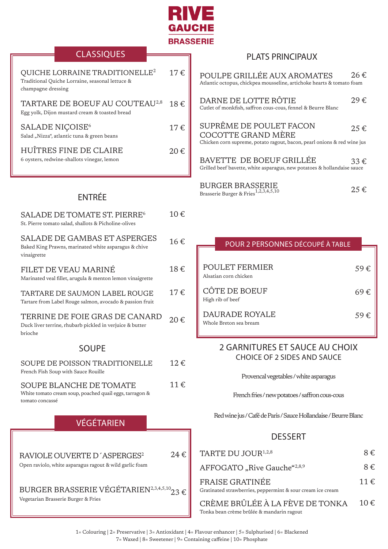

# **CLASSIQUES**

| QUICHE LORRAINE TRADITIONELLE <sup>2</sup><br>Traditional Quiche Lorraine, seasonal lettuce &<br>champagne dressing | 17 f           |
|---------------------------------------------------------------------------------------------------------------------|----------------|
| TARTARE DE BOEUF AU COUTEAU <sup>2,8</sup><br>Egg yolk, Dijon mustard cream & toasted bread                         | 18€            |
| SALADE NIÇOISE <sup>6</sup><br>Salad "Nizza", atlantic tuna & green beans                                           | 17€            |
| HUÎTRES FINE DE CLAIRE<br>6 oysters, redwine-shallots vinegar, lemon                                                | $20 \text{ }f$ |

### PLATS PRINCIPAUX

| POULPE GRILLÉE AUX AROMATES<br>Atlantic octopus, chickpea mousseline, artichoke hearts & tomato foam                      | 26€         |
|---------------------------------------------------------------------------------------------------------------------------|-------------|
| DARNE DE LOTTE RÔTIE<br>Cutlet of monkfish, saffron cous-cous, fennel & Beurre Blanc                                      | 29€         |
| SUPRÊME DE POULET FACON<br>COCOTTE GRAND MÈRE<br>Chicken corn supreme, potato ragout, bacon, pearl onions & red wine just | $25 \notin$ |
| BAVETTE DE BOEUF GRILLÉE<br>Grilled beef bavette, white asparagus, new potatoes & hollandaise sauce                       | $33 \in$    |
| <b>BURGER BRASSERIE</b><br>$\sim$ $\sim$ $\sim$ $\sim$ $\sim$ 1.2.3.4.5.10                                                | 25€         |

Brasserie Burger & Fries<sup>1,2,3,4,5,10</sup>

# ENTRÉE

| <b>SALADE DE TOMATE ST. PIERRE<sup>6</sup></b><br>St. Pierre tomato salad, shallots & Picholine-olives       | 10€ |
|--------------------------------------------------------------------------------------------------------------|-----|
| <b>SALADE DE GAMBAS ET ASPERGES</b><br>Baked King Prawns, marinated white asparagus & chive<br>vinaigrette   | 16€ |
| FILET DE VEAU MARINÉ<br>Marinated veal fillet, arugula & menton lemon vinaigrette                            | 18€ |
| TARTARE DE SAUMON LABEL ROUGE<br>Tartare from Label Rouge salmon, avocado & passion fruit                    | 17€ |
| TERRINE DE FOIE GRAS DE CANARD<br>Duck liver terrine, rhubarb pickled in verjuice & butter<br>brioche        | 20€ |
| <b>SOUPE</b>                                                                                                 |     |
| <b>SOUPE DE POISSON TRADITIONELLE</b><br>French Fish Soup with Sauce Rouille                                 | 12€ |
| <b>SOUPE BLANCHE DE TOMATE</b><br>White tomato cream soup, poached quail eggs, tarragon &<br>tomato concassé | 11€ |
| <b>VÉGÉTARIEN</b>                                                                                            |     |
| RAVIOLE OUVERTE D'ASPERGES <sup>2</sup><br>Open raviolo, white asparagus ragout & wild garlic foam           | 24€ |
| BURGER BRASSERIE VÉGÉTARIEN2,3,4,5,10 $_{23}$ €                                                              |     |

Vegetarian Brasserie Burger & Fries

| POUR 2 PERSONNES DÉCOUPÉ À TABLE                |          |
|-------------------------------------------------|----------|
| <b>POULET FERMIER</b><br>Alsatian corn chicken  | 59€      |
| CÔTE DE BOEUF<br>High rib of beef               | 69 €     |
| <b>DAURADE ROYALE</b><br>Whole Breton sea bream | 59 $\in$ |

### 2 GARNITURES ET SAUCE AU CHOIX CHOICE OF 2 SIDES AND SAUCE

Provencal vegetables / white asparagus

French fries / new potatoes / saffron cous-cous

Red wine jus / Café de Paris / Sauce Hollandaise / Beurre Blanc

## DESSERT

| TARTE DU JOUR <sup>1,2,8</sup>                                                       | $8 \in$  |
|--------------------------------------------------------------------------------------|----------|
| AFFOGATO "Rive Gauche"2,8,9                                                          | $8 \in$  |
| <b>FRAISE GRATINÉE</b><br>Gratinated strawberries, peppermint & sour cream ice cream | $11 \in$ |
| CRÈME BRÛLÉE À LA FÈVE DE TONKA                                                      | 10 $\in$ |

E TONKA Tonka bean crème brûlée & mandarin ragout